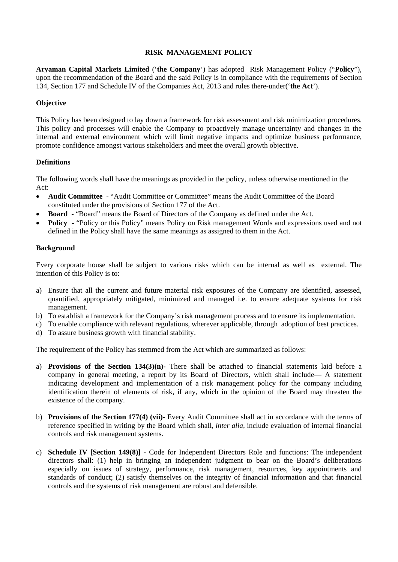## **RISK MANAGEMENT POLICY**

**Aryaman Capital Markets Limited** ('**the Company**') has adopted Risk Management Policy ("**Policy**"), upon the recommendation of the Board and the said Policy is in compliance with the requirements of Section 134, Section 177 and Schedule IV of the Companies Act, 2013 and rules there-under('**the Act**').

# **Objective**

This Policy has been designed to lay down a framework for risk assessment and risk minimization procedures. This policy and processes will enable the Company to proactively manage uncertainty and changes in the internal and external environment which will limit negative impacts and optimize business performance, promote confidence amongst various stakeholders and meet the overall growth objective.

# **Definitions**

The following words shall have the meanings as provided in the policy, unless otherwise mentioned in the Act:

- **Audit Committee**  "Audit Committee or Committee" means the Audit Committee of the Board constituted under the provisions of Section 177 of the Act.
- **Board**  "Board" means the Board of Directors of the Company as defined under the Act.
- **Policy** "Policy or this Policy" means Policy on Risk management Words and expressions used and not defined in the Policy shall have the same meanings as assigned to them in the Act.

## **Background**

Every corporate house shall be subject to various risks which can be internal as well as external. The intention of this Policy is to:

- a) Ensure that all the current and future material risk exposures of the Company are identified, assessed, quantified, appropriately mitigated, minimized and managed i.e. to ensure adequate systems for risk management.
- b) To establish a framework for the Company's risk management process and to ensure its implementation.
- c) To enable compliance with relevant regulations, wherever applicable, through adoption of best practices.
- d) To assure business growth with financial stability.

The requirement of the Policy has stemmed from the Act which are summarized as follows:

- a) **Provisions of the Section 134(3)(n)-** There shall be attached to financial statements laid before a company in general meeting, a report by its Board of Directors, which shall include— A statement indicating development and implementation of a risk management policy for the company including identification therein of elements of risk, if any, which in the opinion of the Board may threaten the existence of the company.
- b) **Provisions of the Section 177(4) (vii)-** Every Audit Committee shall act in accordance with the terms of reference specified in writing by the Board which shall, *inter alia,* include evaluation of internal financial controls and risk management systems.
- c) **Schedule IV [Section 149(8)]** Code for Independent Directors Role and functions: The independent directors shall: (1) help in bringing an independent judgment to bear on the Board's deliberations especially on issues of strategy, performance, risk management, resources, key appointments and standards of conduct; (2) satisfy themselves on the integrity of financial information and that financial controls and the systems of risk management are robust and defensible.